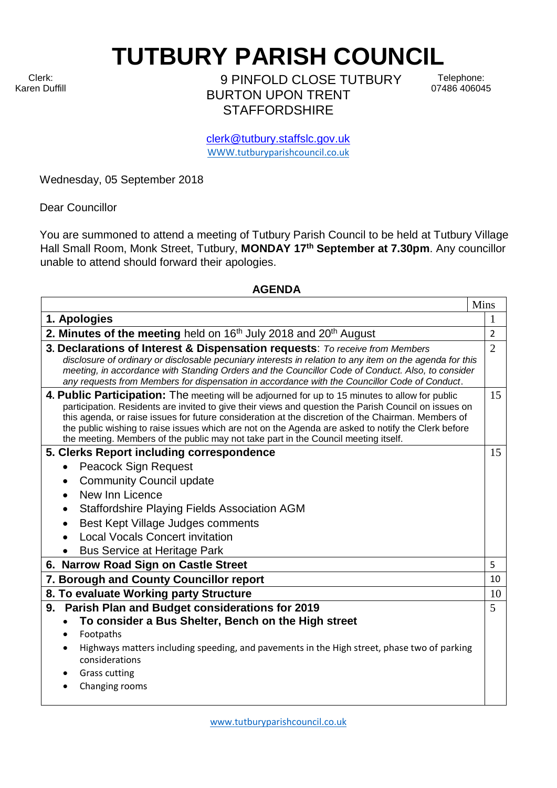Clerk: Karen Duffill **TUTBURY PARISH COUNCIL**  9 PINFOLD CLOSE TUTBURY

BURTON UPON TRENT **STAFFORDSHIRE** 

Telephone: 07486 406045

clerk@tutbury.staffslc.gov.uk [WWW.tutburyparishcouncil.co.uk](http://www.tutburyparishcouncil.co.uk/)

Wednesday, 05 September 2018

Dear Councillor

You are summoned to attend a meeting of Tutbury Parish Council to be held at Tutbury Village Hall Small Room, Monk Street, Tutbury, **MONDAY 17 th September at 7.30pm**. Any councillor unable to attend should forward their apologies.

## **AGENDA**

|                                                                                                                                                                                                    | Mins           |
|----------------------------------------------------------------------------------------------------------------------------------------------------------------------------------------------------|----------------|
| 1. Apologies                                                                                                                                                                                       | 1              |
| 2. Minutes of the meeting held on 16th July 2018 and 20th August                                                                                                                                   | $\overline{2}$ |
| 3. Declarations of Interest & Dispensation requests: To receive from Members                                                                                                                       | $\overline{2}$ |
| disclosure of ordinary or disclosable pecuniary interests in relation to any item on the agenda for this                                                                                           |                |
| meeting, in accordance with Standing Orders and the Councillor Code of Conduct. Also, to consider<br>any requests from Members for dispensation in accordance with the Councillor Code of Conduct. |                |
| 4. Public Participation: The meeting will be adjourned for up to 15 minutes to allow for public                                                                                                    | 15             |
| participation. Residents are invited to give their views and question the Parish Council on issues on                                                                                              |                |
| this agenda, or raise issues for future consideration at the discretion of the Chairman. Members of                                                                                                |                |
| the public wishing to raise issues which are not on the Agenda are asked to notify the Clerk before                                                                                                |                |
| the meeting. Members of the public may not take part in the Council meeting itself.                                                                                                                |                |
| 5. Clerks Report including correspondence                                                                                                                                                          | 15             |
| <b>Peacock Sign Request</b>                                                                                                                                                                        |                |
| <b>Community Council update</b>                                                                                                                                                                    |                |
| New Inn Licence                                                                                                                                                                                    |                |
| Staffordshire Playing Fields Association AGM                                                                                                                                                       |                |
| Best Kept Village Judges comments<br>$\bullet$                                                                                                                                                     |                |
| <b>Local Vocals Concert invitation</b>                                                                                                                                                             |                |
| <b>Bus Service at Heritage Park</b>                                                                                                                                                                |                |
| 6. Narrow Road Sign on Castle Street                                                                                                                                                               | 5              |
| 7. Borough and County Councillor report                                                                                                                                                            | 10             |
| 8. To evaluate Working party Structure                                                                                                                                                             | 10             |
| Parish Plan and Budget considerations for 2019<br>9.                                                                                                                                               | 5              |
| To consider a Bus Shelter, Bench on the High street                                                                                                                                                |                |
| Footpaths                                                                                                                                                                                          |                |
| Highways matters including speeding, and pavements in the High street, phase two of parking                                                                                                        |                |
| considerations                                                                                                                                                                                     |                |
| <b>Grass cutting</b>                                                                                                                                                                               |                |
| Changing rooms                                                                                                                                                                                     |                |
|                                                                                                                                                                                                    |                |